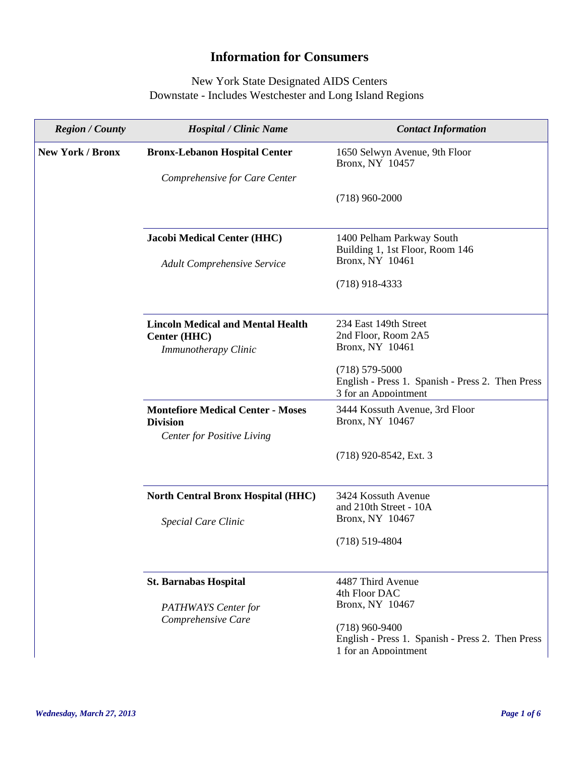## **Information for Consumers**

## New York State Designated AIDS Centers Downstate - Includes Westchester and Long Island Regions

| <b>Region</b> / County  | <b>Hospital / Clinic Name</b>                                                                    | <b>Contact Information</b>                                                                     |
|-------------------------|--------------------------------------------------------------------------------------------------|------------------------------------------------------------------------------------------------|
| <b>New York / Bronx</b> | <b>Bronx-Lebanon Hospital Center</b>                                                             | 1650 Selwyn Avenue, 9th Floor<br>Bronx, NY 10457                                               |
|                         | Comprehensive for Care Center                                                                    |                                                                                                |
|                         |                                                                                                  | $(718)$ 960-2000                                                                               |
|                         | <b>Jacobi Medical Center (HHC)</b>                                                               | 1400 Pelham Parkway South<br>Building 1, 1st Floor, Room 146<br>Bronx, NY 10461                |
|                         | <b>Adult Comprehensive Service</b>                                                               |                                                                                                |
|                         |                                                                                                  | $(718)$ 918-4333                                                                               |
|                         | <b>Lincoln Medical and Mental Health</b><br>Center (HHC)<br><b>Immunotherapy Clinic</b>          | 234 East 149th Street<br>2nd Floor, Room 2A5<br>Bronx, NY 10461                                |
|                         |                                                                                                  | $(718) 579 - 5000$<br>English - Press 1. Spanish - Press 2. Then Press<br>3 for an Appointment |
|                         | <b>Montefiore Medical Center - Moses</b><br><b>Division</b><br><b>Center for Positive Living</b> | 3444 Kossuth Avenue, 3rd Floor<br>Bronx, NY 10467                                              |
|                         |                                                                                                  | (718) 920-8542, Ext. 3                                                                         |
|                         | <b>North Central Bronx Hospital (HHC)</b>                                                        | 3424 Kossuth Avenue<br>and 210th Street - 10A                                                  |
|                         | <b>Special Care Clinic</b>                                                                       | Bronx, NY 10467                                                                                |
|                         |                                                                                                  | $(718)$ 519-4804                                                                               |
|                         | <b>St. Barnabas Hospital</b>                                                                     | 4487 Third Avenue<br>4th Floor DAC                                                             |
|                         | PATHWAYS Center for                                                                              | Bronx, NY 10467                                                                                |
|                         | Comprehensive Care                                                                               | $(718)$ 960-9400<br>English - Press 1. Spanish - Press 2. Then Press<br>1 for an Appointment   |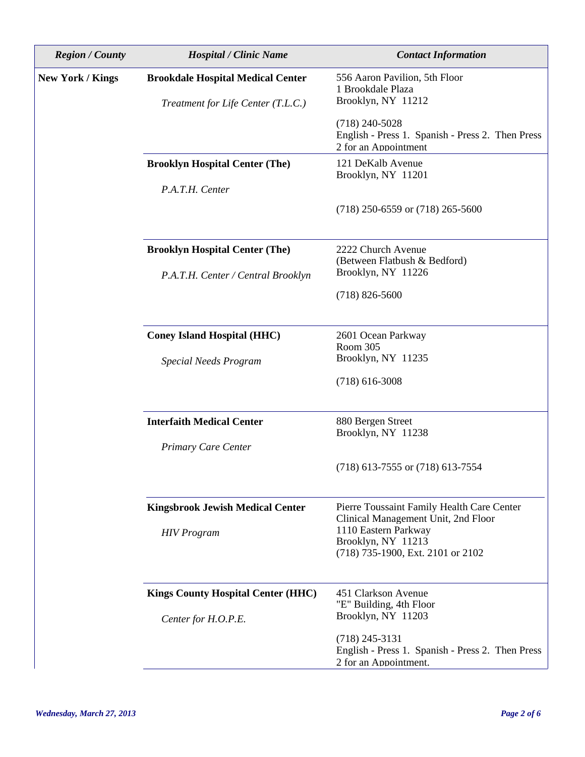| <b>Region / County</b>  | <b>Hospital / Clinic Name</b>             | <b>Contact Information</b>                                                                    |
|-------------------------|-------------------------------------------|-----------------------------------------------------------------------------------------------|
| <b>New York / Kings</b> | <b>Brookdale Hospital Medical Center</b>  | 556 Aaron Pavilion, 5th Floor<br>1 Brookdale Plaza                                            |
|                         | Treatment for Life Center (T.L.C.)        | Brooklyn, NY 11212                                                                            |
|                         |                                           | $(718)$ 240-5028<br>English - Press 1. Spanish - Press 2. Then Press<br>2 for an Appointment  |
|                         | <b>Brooklyn Hospital Center (The)</b>     | 121 DeKalb Avenue<br>Brooklyn, NY 11201                                                       |
|                         | P.A.T.H. Center                           |                                                                                               |
|                         |                                           | $(718)$ 250-6559 or $(718)$ 265-5600                                                          |
|                         | <b>Brooklyn Hospital Center (The)</b>     | 2222 Church Avenue<br>(Between Flatbush & Bedford)                                            |
|                         | P.A.T.H. Center / Central Brooklyn        | Brooklyn, NY 11226                                                                            |
|                         |                                           | $(718)$ 826-5600                                                                              |
|                         | <b>Coney Island Hospital (HHC)</b>        | 2601 Ocean Parkway                                                                            |
|                         | <b>Special Needs Program</b>              | Room 305<br>Brooklyn, NY 11235                                                                |
|                         |                                           | $(718)$ 616-3008                                                                              |
|                         | <b>Interfaith Medical Center</b>          | 880 Bergen Street                                                                             |
|                         | <b>Primary Care Center</b>                | Brooklyn, NY 11238                                                                            |
|                         |                                           | $(718)$ 613-7555 or $(718)$ 613-7554                                                          |
|                         | <b>Kingsbrook Jewish Medical Center</b>   | Pierre Toussaint Family Health Care Center<br>Clinical Management Unit, 2nd Floor             |
|                         | <b>HIV</b> Program                        | 1110 Eastern Parkway<br>Brooklyn, NY 11213<br>(718) 735-1900, Ext. 2101 or 2102               |
|                         | <b>Kings County Hospital Center (HHC)</b> | 451 Clarkson Avenue                                                                           |
|                         | Center for H.O.P.E.                       | "E" Building, 4th Floor<br>Brooklyn, NY 11203                                                 |
|                         |                                           | $(718)$ 245-3131<br>English - Press 1. Spanish - Press 2. Then Press<br>2 for an Appointment. |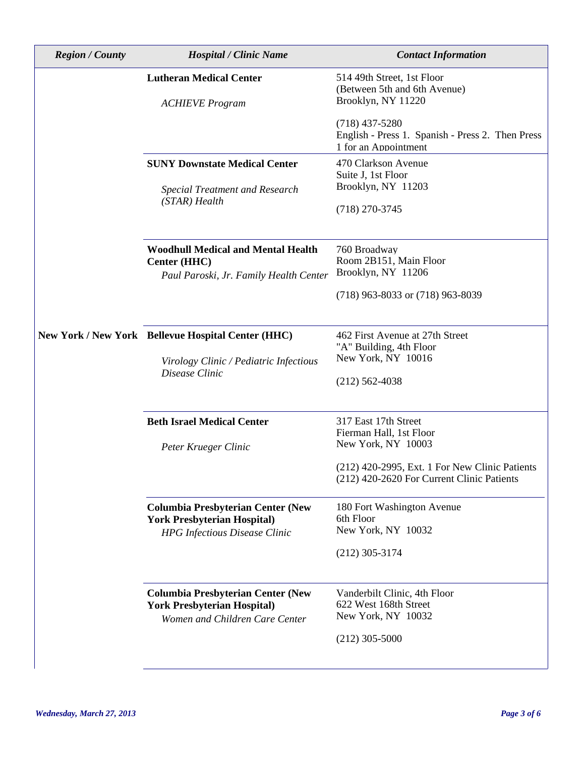| <b>Region</b> / County | <b>Hospital / Clinic Name</b>                                                  | <b>Contact Information</b>                                                                   |
|------------------------|--------------------------------------------------------------------------------|----------------------------------------------------------------------------------------------|
|                        | <b>Lutheran Medical Center</b><br><b>ACHIEVE Program</b>                       | 514 49th Street, 1st Floor<br>(Between 5th and 6th Avenue)<br>Brooklyn, NY 11220             |
|                        |                                                                                | $(718)$ 437-5280<br>English - Press 1. Spanish - Press 2. Then Press<br>1 for an Appointment |
|                        | <b>SUNY Downstate Medical Center</b>                                           | 470 Clarkson Avenue<br>Suite J, 1st Floor                                                    |
|                        | <b>Special Treatment and Research</b><br>$(STAR)$ Health                       | Brooklyn, NY 11203                                                                           |
|                        |                                                                                | $(718)$ 270-3745                                                                             |
|                        | <b>Woodhull Medical and Mental Health</b><br>Center (HHC)                      | 760 Broadway<br>Room 2B151, Main Floor                                                       |
|                        | Paul Paroski, Jr. Family Health Center                                         | Brooklyn, NY 11206                                                                           |
|                        |                                                                                | (718) 963-8033 or (718) 963-8039                                                             |
|                        | New York / New York Bellevue Hospital Center (HHC)                             | 462 First Avenue at 27th Street<br>"A" Building, 4th Floor                                   |
|                        | Virology Clinic / Pediatric Infectious<br>Disease Clinic                       | New York, NY 10016                                                                           |
|                        |                                                                                | $(212)$ 562-4038                                                                             |
|                        | <b>Beth Israel Medical Center</b>                                              | 317 East 17th Street<br>Fierman Hall, 1st Floor                                              |
|                        | Peter Krueger Clinic                                                           | New York, NY 10003                                                                           |
|                        |                                                                                | (212) 420-2995, Ext. 1 For New Clinic Patients<br>(212) 420-2620 For Current Clinic Patients |
|                        | <b>Columbia Presbyterian Center (New</b>                                       | 180 Fort Washington Avenue<br>6th Floor                                                      |
|                        | <b>York Presbyterian Hospital)</b><br><b>HPG</b> Infectious Disease Clinic     | New York, NY 10032                                                                           |
|                        |                                                                                | $(212)$ 305-3174                                                                             |
|                        | <b>Columbia Presbyterian Center (New</b><br><b>York Presbyterian Hospital)</b> | Vanderbilt Clinic, 4th Floor<br>622 West 168th Street                                        |
|                        | Women and Children Care Center                                                 | New York, NY 10032                                                                           |
|                        |                                                                                | $(212)$ 305-5000                                                                             |

 $\overline{\phantom{a}}$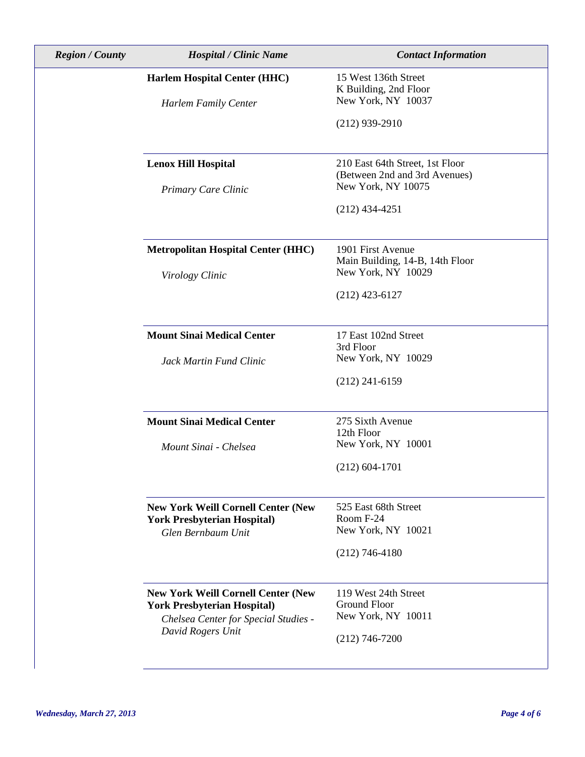| <b>Region</b> / County | <b>Hospital / Clinic Name</b>                             | <b>Contact Information</b>                                       |
|------------------------|-----------------------------------------------------------|------------------------------------------------------------------|
|                        | <b>Harlem Hospital Center (HHC)</b>                       | 15 West 136th Street<br>K Building, 2nd Floor                    |
|                        | <b>Harlem Family Center</b>                               | New York, NY 10037                                               |
|                        |                                                           | $(212)$ 939-2910                                                 |
|                        |                                                           |                                                                  |
|                        | <b>Lenox Hill Hospital</b>                                | 210 East 64th Street, 1st Floor<br>(Between 2nd and 3rd Avenues) |
|                        | Primary Care Clinic                                       | New York, NY 10075                                               |
|                        |                                                           | $(212)$ 434-4251                                                 |
|                        | <b>Metropolitan Hospital Center (HHC)</b>                 | 1901 First Avenue                                                |
|                        | Virology Clinic                                           | Main Building, 14-B, 14th Floor<br>New York, NY 10029            |
|                        |                                                           | $(212)$ 423-6127                                                 |
|                        | <b>Mount Sinai Medical Center</b>                         | 17 East 102nd Street<br>3rd Floor                                |
|                        | Jack Martin Fund Clinic                                   | New York, NY 10029                                               |
|                        |                                                           | $(212)$ 241-6159                                                 |
|                        | <b>Mount Sinai Medical Center</b>                         | 275 Sixth Avenue<br>12th Floor                                   |
|                        | Mount Sinai - Chelsea                                     | New York, NY 10001                                               |
|                        |                                                           | $(212) 604 - 1701$                                               |
|                        | <b>New York Weill Cornell Center (New</b>                 | 525 East 68th Street                                             |
|                        | <b>York Presbyterian Hospital)</b><br>Glen Bernbaum Unit  | Room F-24<br>New York, NY 10021                                  |
|                        |                                                           | $(212)$ 746-4180                                                 |
|                        | <b>New York Weill Cornell Center (New</b>                 | 119 West 24th Street                                             |
|                        | <b>York Presbyterian Hospital)</b>                        | <b>Ground Floor</b><br>New York, NY 10011                        |
|                        | Chelsea Center for Special Studies -<br>David Rogers Unit | $(212)$ 746-7200                                                 |
|                        |                                                           |                                                                  |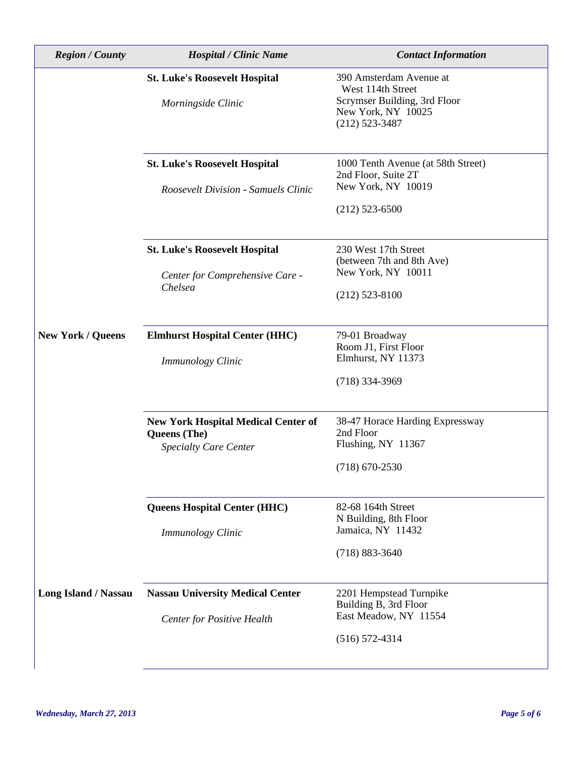| <b>Region</b> / County   | <b>Hospital / Clinic Name</b>                                                              | <b>Contact Information</b>                                                                                             |
|--------------------------|--------------------------------------------------------------------------------------------|------------------------------------------------------------------------------------------------------------------------|
|                          | <b>St. Luke's Roosevelt Hospital</b><br>Morningside Clinic                                 | 390 Amsterdam Avenue at<br>West 114th Street<br>Scrymser Building, 3rd Floor<br>New York, NY 10025<br>$(212)$ 523-3487 |
|                          | <b>St. Luke's Roosevelt Hospital</b><br><b>Roosevelt Division - Samuels Clinic</b>         | 1000 Tenth Avenue (at 58th Street)<br>2nd Floor, Suite 2T<br>New York, NY 10019<br>$(212)$ 523-6500                    |
|                          | <b>St. Luke's Roosevelt Hospital</b><br>Center for Comprehensive Care -<br>Chelsea         | 230 West 17th Street<br>(between 7th and 8th Ave)<br>New York, NY 10011<br>$(212)$ 523-8100                            |
| <b>New York / Queens</b> | <b>Elmhurst Hospital Center (HHC)</b><br>Immunology Clinic                                 | 79-01 Broadway<br>Room J1, First Floor<br>Elmhurst, NY 11373<br>$(718)$ 334-3969                                       |
|                          | <b>New York Hospital Medical Center of</b><br>Queens (The)<br><b>Specialty Care Center</b> | 38-47 Horace Harding Expressway<br>2nd Floor<br>Flushing, NY 11367<br>$(718)$ 670-2530                                 |
|                          | Queens Hospital Center (HHC)<br><b>Immunology Clinic</b>                                   | 82-68 164th Street<br>N Building, 8th Floor<br>Jamaica, NY 11432<br>$(718) 883 - 3640$                                 |
| Long Island / Nassau     | <b>Nassau University Medical Center</b><br><b>Center for Positive Health</b>               | 2201 Hempstead Turnpike<br>Building B, 3rd Floor<br>East Meadow, NY 11554<br>$(516) 572 - 4314$                        |